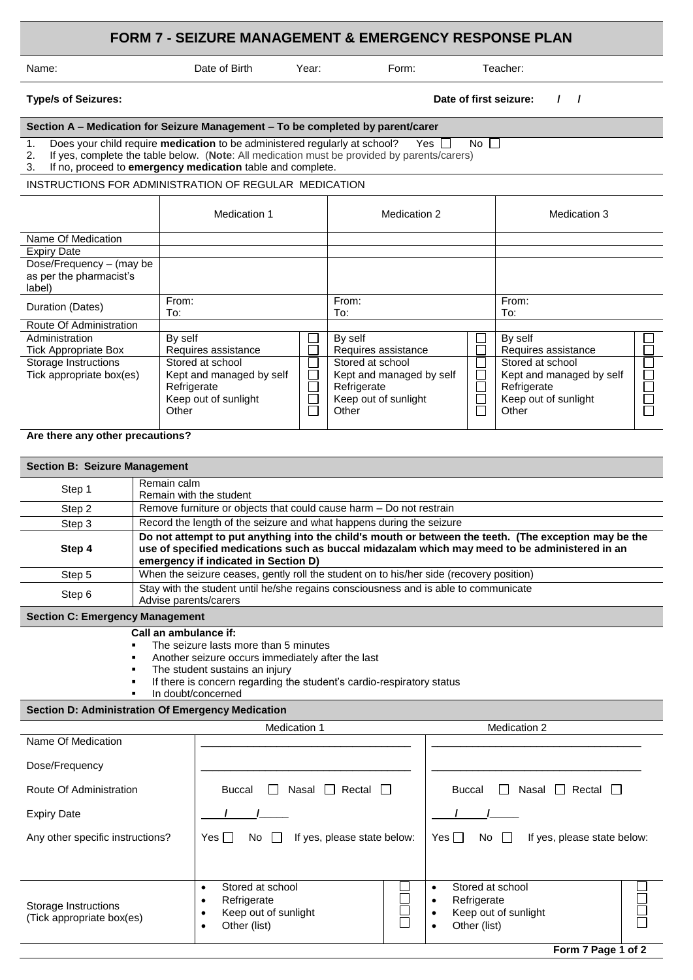# **FORM 7 - SEIZURE MANAGEMENT & EMERGENCY RESPONSE PLAN**

|  | Name: |
|--|-------|
|  |       |

Date of Birth Year: Form: Teacher:

#### **Section A – Medication for Seizure Management – To be completed by parent/carer**

1. Does your child require **medication** to be administered regularly at school? Yes  $\Box$  No  $\Box$ 

|  | If yes, complete the table below. (Note: All medication must be provided by parents/carers) |
|--|---------------------------------------------------------------------------------------------|

3. If no, proceed to **emergency medication** table and complete.

### INSTRUCTIONS FOR ADMINISTRATION OF REGULAR MEDICATION

|                                                               | Medication 1                                                                                 |                                      | Medication 2                                                                                 |  | Medication 3                                                                                 |  |
|---------------------------------------------------------------|----------------------------------------------------------------------------------------------|--------------------------------------|----------------------------------------------------------------------------------------------|--|----------------------------------------------------------------------------------------------|--|
| Name Of Medication<br><b>Expiry Date</b>                      |                                                                                              |                                      |                                                                                              |  |                                                                                              |  |
| Dose/Frequency - (may be<br>as per the pharmacist's<br>label) |                                                                                              |                                      |                                                                                              |  |                                                                                              |  |
| Duration (Dates)                                              | From:<br>To:                                                                                 |                                      | From:<br>To:                                                                                 |  | From:<br>To:                                                                                 |  |
| Route Of Administration                                       |                                                                                              |                                      |                                                                                              |  |                                                                                              |  |
| Administration<br><b>Tick Appropriate Box</b>                 | By self<br>Requires assistance                                                               |                                      | By self<br>Requires assistance                                                               |  | By self<br>Requires assistance                                                               |  |
| Storage Instructions<br>Tick appropriate box(es)              | Stored at school<br>Kept and managed by self<br>Refrigerate<br>Keep out of sunlight<br>Other | J.<br>J.<br>$\overline{\phantom{0}}$ | Stored at school<br>Kept and managed by self<br>Refrigerate<br>Keep out of sunlight<br>Other |  | Stored at school<br>Kept and managed by self<br>Refrigerate<br>Keep out of sunlight<br>Other |  |

## **Are there any other precautions?**

| <b>Section B: Seizure Management</b> |                                                                                                                                                                                                                                                |  |  |  |
|--------------------------------------|------------------------------------------------------------------------------------------------------------------------------------------------------------------------------------------------------------------------------------------------|--|--|--|
| Step 1                               | Remain calm<br>Remain with the student                                                                                                                                                                                                         |  |  |  |
| Step 2                               | Remove furniture or objects that could cause harm – Do not restrain                                                                                                                                                                            |  |  |  |
| Step 3                               | Record the length of the seizure and what happens during the seizure                                                                                                                                                                           |  |  |  |
| Step 4                               | Do not attempt to put anything into the child's mouth or between the teeth. (The exception may be the<br>use of specified medications such as buccal midazalam which may meed to be administered in an<br>emergency if indicated in Section D) |  |  |  |
| Step 5                               | When the seizure ceases, gently roll the student on to his/her side (recovery position)                                                                                                                                                        |  |  |  |
| Step 6                               | Stay with the student until he/she regains consciousness and is able to communicate<br>Advise parents/carers                                                                                                                                   |  |  |  |

### **Section C: Emergency Management**

 **Call an ambulance if:** 

- The seizure lasts more than 5 minutes
- Another seizure occurs immediately after the last
- The student sustains an injury
- If there is concern regarding the student's cardio-respiratory status
- In doubt/concerned

#### **Section D: Administration Of Emergency Medication**

| Medication 1                                      |                                                                                             |   | Medication 2                                                                                |             |  |
|---------------------------------------------------|---------------------------------------------------------------------------------------------|---|---------------------------------------------------------------------------------------------|-------------|--|
| Name Of Medication                                |                                                                                             |   |                                                                                             |             |  |
| Dose/Frequency                                    |                                                                                             |   |                                                                                             |             |  |
| Route Of Administration                           | Rectal<br>$\overline{\phantom{a}}$<br><b>Buccal</b><br>Nasal                                |   | Rectal $\Box$<br>Nasal<br><b>Buccal</b><br>$\perp$                                          |             |  |
| <b>Expiry Date</b>                                |                                                                                             |   |                                                                                             |             |  |
| Any other specific instructions?                  | If yes, please state below:<br>Yes II<br>No                                                 |   | Yes $\Box$<br>If yes, please state below:<br>No<br>$\perp$                                  |             |  |
|                                                   |                                                                                             |   |                                                                                             |             |  |
| Storage Instructions<br>(Tick appropriate box(es) | Stored at school<br>٠<br>Refrigerate<br>٠<br>Keep out of sunlight<br>٠<br>Other (list)<br>٠ | E | Stored at school<br>٠<br>Refrigerate<br>٠<br>Keep out of sunlight<br>٠<br>Other (list)<br>٠ | $\Box$<br>┍ |  |

**Type/s of Seizures: Date of first seizure: / /**